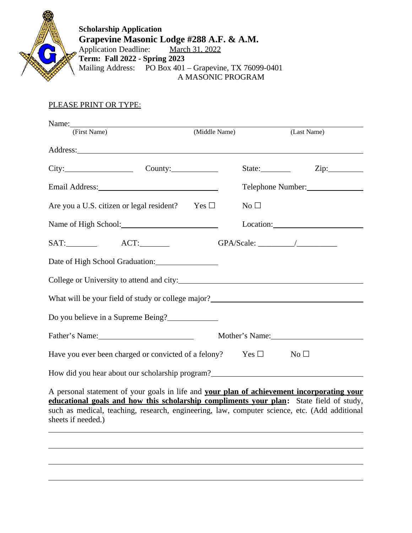

 $\overline{a}$ 

 $\overline{a}$ 

 $\overline{a}$ 

**Scholarship Application Grapevine Masonic Lodge #288 A.F. & A.M.** Application Deadline: March 31, 2022

**Term: Fall 2022 - Spring 2023** Mailing Address: PO Box 401 – Grapevine, TX 76099-0401 A MASONIC PROGRAM

## PLEASE PRINT OR TYPE:

| Name: Name:                                                                                                                                                                                                                   |               |                   |                 |
|-------------------------------------------------------------------------------------------------------------------------------------------------------------------------------------------------------------------------------|---------------|-------------------|-----------------|
| (First Name)                                                                                                                                                                                                                  | (Middle Name) |                   | (Last Name)     |
|                                                                                                                                                                                                                               |               |                   |                 |
| $City:$ County:                                                                                                                                                                                                               |               | State:___________ | Zip:            |
| Email Address: 1988 and 2008 and 2008 and 2008 and 2008 and 2008 and 2008 and 2008 and 2008 and 2008 and 2008 and 2008 and 2008 and 2008 and 2008 and 2008 and 2008 and 2008 and 2008 and 2008 and 2008 and 2008 and 2008 and |               |                   |                 |
| Are you a U.S. citizen or legal resident? Yes $\Box$                                                                                                                                                                          |               | No <sub>1</sub>   |                 |
| Name of High School: 2008                                                                                                                                                                                                     |               |                   |                 |
|                                                                                                                                                                                                                               |               |                   | GPA/Scale: //   |
|                                                                                                                                                                                                                               |               |                   |                 |
|                                                                                                                                                                                                                               |               |                   |                 |
| What will be your field of study or college major?_______________________________                                                                                                                                             |               |                   |                 |
| Do you believe in a Supreme Being?                                                                                                                                                                                            |               |                   |                 |
| Father's Name: 1988 and 1988 and 1988 and 1988 and 1988 and 1988 and 1988 and 1988 and 1988 and 1988 and 1988 and 1988 and 1988 and 1988 and 1988 and 1988 and 1988 and 1988 and 1988 and 1988 and 1988 and 1988 and 1988 and |               |                   |                 |
| Have you ever been charged or convicted of a felony? Yes $\Box$                                                                                                                                                               |               |                   | No <sub>1</sub> |
| How did you hear about our scholarship program?<br><u>Letter and the second our scholarship program?</u>                                                                                                                      |               |                   |                 |
| A personal statement of your goals in life and your plan of achievement incorporating your<br>advertional goals and how this scholarship compliments your plan: State field of study                                          |               |                   |                 |

**educational goals and how this scholarship compliments your plan:** State field of study, such as medical, teaching, research, engineering, law, computer science, etc. (Add additional sheets if needed.)  $\overline{a}$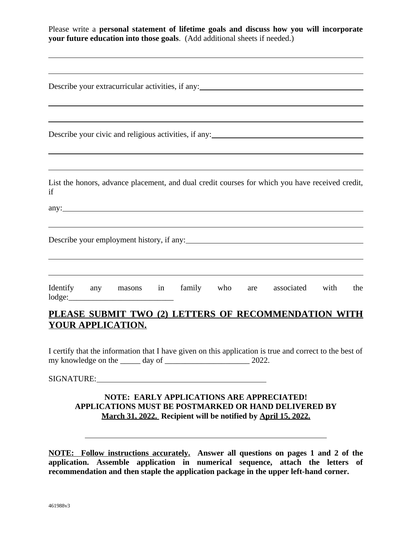| Please write a personal statement of lifetime goals and discuss how you will incorporate<br>your future education into those goals. (Add additional sheets if needed.)           |
|----------------------------------------------------------------------------------------------------------------------------------------------------------------------------------|
| Describe your extracurricular activities, if any: <u>the contract of the contract of the contract of</u>                                                                         |
| Describe your civic and religious activities, if any:<br><u>Describe your civic and religious activities</u> , if any:                                                           |
| List the honors, advance placement, and dual credit courses for which you have received credit,<br>if                                                                            |
| Describe your employment history, if any:                                                                                                                                        |
| Identify any masons in<br>family who<br>associated<br>with<br>the<br>are<br>lodge:                                                                                               |
| PLEASE SUBMIT TWO (2) LETTERS OF RECOMMENDATION WITH<br><b>YOUR APPLICATION.</b>                                                                                                 |
| I certify that the information that I have given on this application is true and correct to the best of                                                                          |
|                                                                                                                                                                                  |
| <b>NOTE: EARLY APPLICATIONS ARE APPRECIATED!</b><br><b>APPLICATIONS MUST BE POSTMARKED OR HAND DELIVERED BY</b><br>March 31, 2022. Recipient will be notified by April 15, 2022. |

**NOTE: Follow instructions accurately. Answer all questions on pages 1 and 2 of the application. Assemble application in numerical sequence, attach the letters of recommendation and then staple the application package in the upper left-hand corner.**